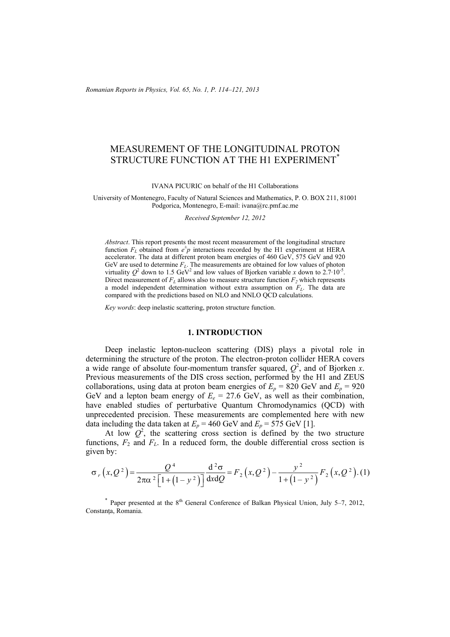*Romanian Reports in Physics, Vol. 65, No. 1, P. 114–121, 2013*

# MEASUREMENT OF THE LONGITUDINAL PROTON STRUCTURE FUNCTION AT THE H1 EXPERIMENT<sup>\*</sup>

IVANA PICURIC on behalf of the H1 Collaborations

University of Montenegro, Faculty of Natural Sciences and Mathematics, P. O. BOX 211, 81001 Podgorica, Montenegro, E-mail: ivana@rc.pmf.ac.me

*Received September 12, 2012* 

*Abstract*. This report presents the most recent measurement of the longitudinal structure function  $F<sub>L</sub>$  obtained from  $e^{\pm}p$  interactions recorded by the H1 experiment at HERA accelerator. The data at different proton beam energies of 460 GeV, 575 GeV and 920 GeV are used to determine  $F<sub>L</sub>$ . The measurements are obtained for low values of photon virtuality  $Q^2$  down to 1.5 GeV<sup>2</sup> and low values of Bjorken variable *x* down to 2.7·10<sup>-5</sup>. Direct measurement of  $F<sub>L</sub>$  allows also to measure structure function  $F<sub>2</sub>$  which represents a model independent determination without extra assumption on  $F<sub>L</sub>$ . The data are compared with the predictions based on NLO and NNLO QCD calculations.

*Key words*: deep inelastic scattering, proton structure function.

#### **1. INTRODUCTION**

Deep inelastic lepton-nucleon scattering (DIS) plays a pivotal role in determining the structure of the proton. The electron-proton collider HERA covers a wide range of absolute four-momentum transfer squared,  $Q^2$ , and of Bjorken *x*. Previous measurements of the DIS cross section, performed by the H1 and ZEUS collaborations, using data at proton beam energies of  $E_p = 820$  GeV and  $E_p = 920$ GeV and a lepton beam energy of  $E_e = 27.6$  GeV, as well as their combination, have enabled studies of perturbative Quantum Chromodynamics (QCD) with unprecedented precision. These measurements are complemented here with new data including the data taken at  $E_p = 460$  GeV and  $E_p = 575$  GeV [1].

At low  $Q^2$ , the scattering cross section is defined by the two structure functions,  $F_2$  and  $F_L$ . In a reduced form, the double differential cross section is given by:

$$
\sigma_r(x,Q^2) = \frac{Q^4}{2\pi\alpha^2 \left[1 + \left(1 - y^2\right)\right]} \frac{d^2\sigma}{dx dQ} = F_2\left(x,Q^2\right) - \frac{y^2}{1 + \left(1 - y^2\right)} F_2\left(x,Q^2\right). (1)
$$

\* Paper presented at the  $8<sup>th</sup>$  General Conference of Balkan Physical Union, July 5–7, 2012, Constanţa, Romania.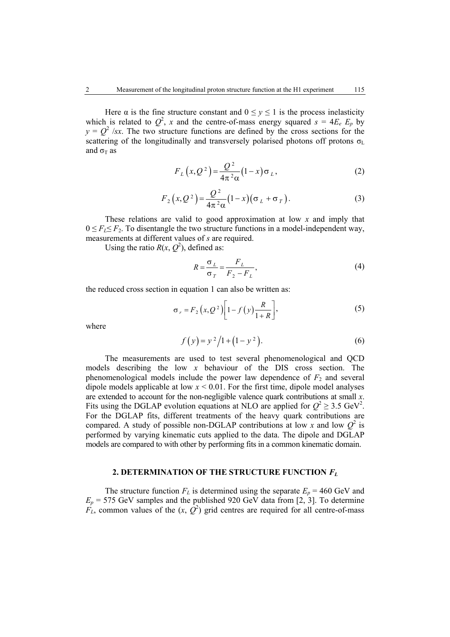Here  $\alpha$  is the fine structure constant and  $0 \le y \le 1$  is the process inelasticity which is related to  $Q^2$ , *x* and the centre-of-mass energy squared  $s = 4E_e E_p$  by  $y = Q^2$  /*sx*. The two structure functions are defined by the cross sections for the scattering of the longitudinally and transversely polarised photons off protons  $\sigma_L$ and  $\sigma$ <sub>T</sub> as

$$
F_L(x,Q^2) = \frac{Q^2}{4\pi^2 \alpha} (1-x) \sigma_L, \qquad (2)
$$

$$
F_2(x,Q^2) = \frac{Q^2}{4\pi^2\alpha}(1-x)(\sigma_L + \sigma_T).
$$
 (3)

These relations are valid to good approximation at low *x* and imply that  $0 \leq F_I \leq F_2$ . To disentangle the two structure functions in a model-independent way, measurements at different values of *s* are required.

Using the ratio  $R(x, Q^2)$ , defined as:

$$
R = \frac{\sigma_L}{\sigma_T} = \frac{F_L}{F_2 - F_L},\tag{4}
$$

the reduced cross section in equation 1 can also be written as:

$$
\sigma_r = F_2(x, Q^2) \left[ 1 - f(y) \frac{R}{1+R} \right],\tag{5}
$$

where

$$
f(y) = y^2/1 + (1 - y^2).
$$
 (6)

The measurements are used to test several phenomenological and QCD models describing the low *x* behaviour of the DIS cross section. The phenomenological models include the power law dependence of  $F_2$  and several dipole models applicable at low  $x \le 0.01$ . For the first time, dipole model analyses are extended to account for the non-negligible valence quark contributions at small *x*. Fits using the DGLAP evolution equations at NLO are applied for  $Q^2 \ge 3.5 \text{ GeV}^2$ . For the DGLAP fits, different treatments of the heavy quark contributions are compared. A study of possible non-DGLAP contributions at low x and low  $Q^2$  is performed by varying kinematic cuts applied to the data. The dipole and DGLAP models are compared to with other by performing fits in a common kinematic domain.

## **2. DETERMINATION OF THE STRUCTURE FUNCTION** *FL*

The structure function  $F_L$  is determined using the separate  $E_p = 460 \text{ GeV}$  and  $E_p$  = 575 GeV samples and the published 920 GeV data from [2, 3]. To determine  $F_L$ , common values of the  $(x, \hat{Q}^2)$  grid centres are required for all centre-of-mass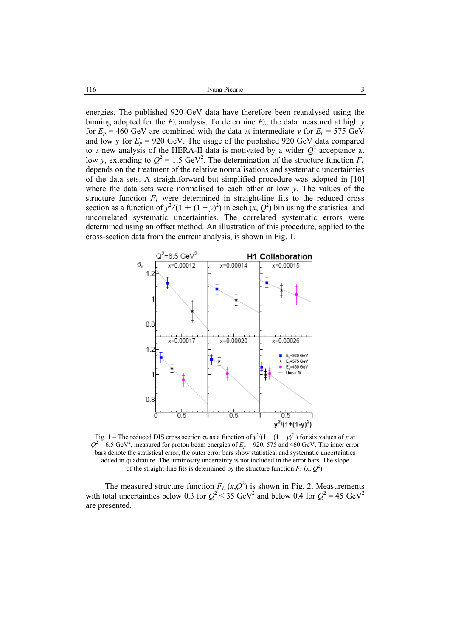energies. The published 920 GeV data have therefore been reanalysed using the binning adopted for the  $F<sub>L</sub>$  analysis. To determine  $F<sub>L</sub>$ , the data measured at high *y* for  $E_p = 460$  GeV are combined with the data at intermediate *y* for  $E_p = 575$  GeV and low y for  $E_p = 920$  GeV. The usage of the published 920 GeV data compared to a new analysis of the HERA-II data is motivated by a wider  $Q^2$  acceptance at low *y*, extending to  $Q^2 = 1.5$  GeV<sup>2</sup>. The determination of the structure function  $F_L$ depends on the treatment of the relative normalisations and systematic uncertainties of the data sets. A straightforward but simplified procedure was adopted in [10] where the data sets were normalised to each other at low *y*. The values of the structure function  $F<sub>L</sub>$  were determined in straight-line fits to the reduced cross section as a function of  $y^2/(1 + (1 - y)^2)$  in each  $(x, Q^2)$  bin using the statistical and uncorrelated systematic uncertainties. The correlated systematic errors were determined using an offset method. An illustration of this procedure, applied to the cross-section data from the current analysis, is shown in Fig. 1.



Fig. 1 – The reduced DIS cross section  $\sigma_r$  as a function of  $y^2/(1 + (1 - y)^2)$  for six values of *x* at  $Q^2$  = 6.5 GeV<sup>2</sup>, measured for proton beam energies of  $E_p$  = 920, 575 and 460 GeV. The inner error bars denote the statistical error, the outer error bars show statistical and systematic uncertainties added in quadrature. The luminosity uncertainty is not included in the error bars. The slope of the straight-line fits is determined by the structure function  $F_L(x, Q^2)$ .

The measured structure function  $F_L(x,Q^2)$  is shown in Fig. 2. Measurements with total uncertainties below 0.3 for  $Q^2 \le 35 \text{ GeV}^2$  and below 0.4 for  $Q^2 = 45 \text{ GeV}^2$ are presented.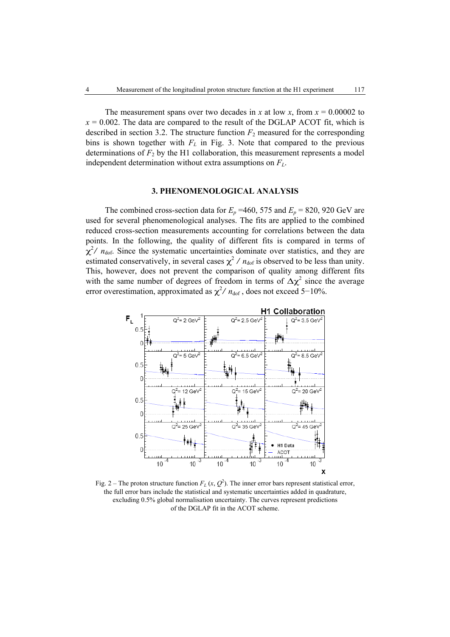The measurement spans over two decades in *x* at low *x*, from  $x = 0.00002$  to  $x = 0.002$ . The data are compared to the result of the DGLAP ACOT fit, which is described in section 3.2. The structure function  $F_2$  measured for the corresponding bins is shown together with  $F<sub>L</sub>$  in Fig. 3. Note that compared to the previous determinations of  $F_2$  by the H1 collaboration, this measurement represents a model independent determination without extra assumptions on *FL*.

#### **3. PHENOMENOLOGICAL ANALYSIS**

The combined cross-section data for  $E_p = 460$ , 575 and  $E_p = 820$ , 920 GeV are used for several phenomenological analyses. The fits are applied to the combined reduced cross-section measurements accounting for correlations between the data points. In the following, the quality of different fits is compared in terms of  $\chi^2$ /  $n_{\text{dof}}$ . Since the systematic uncertainties dominate over statistics, and they are  $\chi^7$   $n_{\text{dot}}$ . Since the systematic directamiles dominate over statistics, and they are estimated conservatively, in several cases  $\chi^2$  /  $n_{\text{dot}}$  is observed to be less than unity. This, however, does not prevent the comparison of quality among different fits with the same number of degrees of freedom in terms of  $\Delta \chi^2$  since the average error overestimation, approximated as  $\chi^2 / n_{\text{dof}}$ , does not exceed 5−10%.



Fig. 2 – The proton structure function  $F_L(x, Q^2)$ . The inner error bars represent statistical error, the full error bars include the statistical and systematic uncertainties added in quadrature, excluding 0.5% global normalisation uncertainty. The curves represent predictions of the DGLAP fit in the ACOT scheme.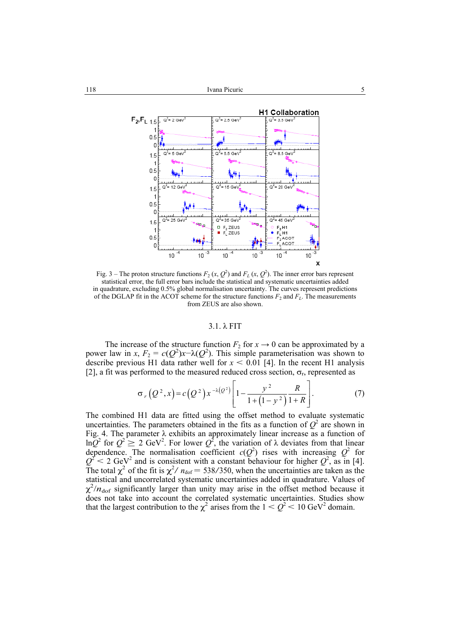

Fig. 3 – The proton structure functions  $F_2(x, Q^2)$  and  $F_L(x, Q^2)$ . The inner error bars represent statistical error, the full error bars include the statistical and systematic uncertainties added in quadrature, excluding 0.5% global normalisation uncertainty. The curves represent predictions of the DGLAP fit in the ACOT scheme for the structure functions  $F_2$  and  $F_L$ . The measurements from ZEUS are also shown.

#### 3.1. λ FIT

The increase of the structure function  $F_2$  for  $x \to 0$  can be approximated by a power law in *x*,  $F_2 = c(Q^2)x-\lambda(Q^2)$ . This simple parameterisation was shown to describe previous H1 data rather well for  $x < 0.01$  [4]. In the recent H1 analysis [2], a fit was performed to the measured reduced cross section,  $\sigma_r$ , represented as

$$
\sigma_r(Q^2, x) = c(Q^2) x^{-\lambda(Q^2)} \left[ 1 - \frac{y^2}{1 + (1 - y^2)} \frac{R}{1 + R} \right].
$$
 (7)

The combined H1 data are fitted using the offset method to evaluate systematic uncertainties. The parameters obtained in the fits as a function of  $Q^2$  are shown in Fig. 4. The parameter  $\lambda$  exhibits an approximately linear increase as a function of ln*Q*<sup>2</sup> for  $Q^2 \ge 2$  GeV<sup>2</sup>. For lower *Q*<sup>2</sup>, the variation of λ deviates from that linear dependence. The normalisation coefficient  $c(Q^2)$  rises with increasing  $Q^2$  for  $Q^2$  < 2 GeV<sup>2</sup> and is consistent with a constant behaviour for higher  $Q^2$ , as in [4].  $Q \sim 2$  dev and is consistent with a constant behaviour for inglier  $Q$ , as in [4].<br>The total  $\chi^2$  of the fit is  $\chi^2 / n_{\text{dof}} = 538/350$ , when the uncertainties are taken as the statistical and uncorrelated systematic uncertainties added in quadrature. Values of  $\chi^2/n_{\text{dof}}$  significantly larger than unity may arise in the offset method because it does not take into account the correlated systematic uncertainties. Studies show that the largest contribution to the  $\chi^2$  arises from the  $1 < Q^2 < 10$  GeV<sup>2</sup> domain.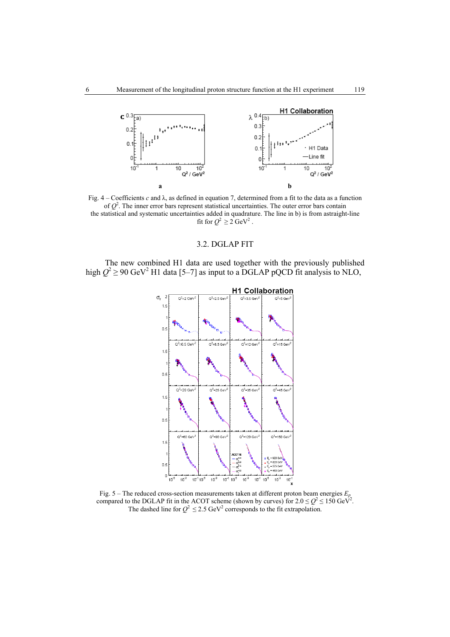

Fig. 4 – Coefficients *c* and λ, as defined in equation 7, determined from a fit to the data as a function of  $Q<sup>2</sup>$ . The inner error bars represent statistical uncertainties. The outer error bars contain the statistical and systematic uncertainties added in quadrature. The line in b) is from astraight-line fit for  $Q^2 \ge 2 \text{ GeV}^2$ .

## 3.2. DGLAP FIT

The new combined H1 data are used together with the previously published high  $Q^2 \ge 90$  GeV<sup>2</sup> H1 data [5–7] as input to a DGLAP pQCD fit analysis to NLO,



Fig. 5 – The reduced cross-section measurements taken at different proton beam energies  $E_p$ compared to the DGLAP fit in the ACOT scheme (shown by curves) for  $2.0 \le Q^2 \le 150 \text{ GeV}^2$ . The dashed line for  $Q^2 \le 2.5$  GeV<sup>2</sup> corresponds to the fit extrapolation.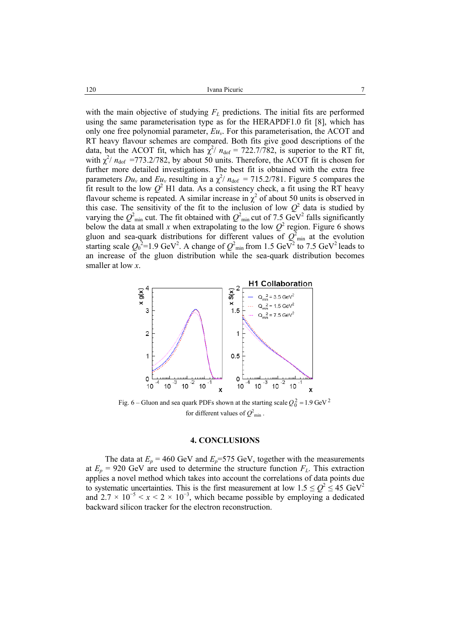Ivana Picuric 7

with the main objective of studying  $F<sub>L</sub>$  predictions. The initial fits are performed using the same parameterisation type as for the HERAPDF1.0 fit [8], which has only one free polynomial parameter, *Euv*. For this parameterisation, the ACOT and RT heavy flavour schemes are compared. Both fits give good descriptions of the data, but the ACOT fit, which has  $\chi^2/n_{\text{dof}} = 722.7/782$ , is superior to the RT fit, with  $\chi^2/n_{\text{dof}}$  =773.2/782, by about 50 units. Therefore, the ACOT fit is chosen for further more detailed investigations. The best fit is obtained with the extra free parameters  $Du_v$  and  $Eu_v$  resulting in a  $\chi^2/a_{\text{dof}} = 715.2/781$ . Figure 5 compares the fit result to the low  $Q^2$  H1 data. As a consistency check, a fit using the RT heavy flavour scheme is repeated. A similar increase in  $\chi^2$  of about 50 units is observed in this case. The sensitivity of the fit to the inclusion of low  $Q^2$  data is studied by varying the  $Q^2_{\text{min}}$  cut. The fit obtained with  $Q^2_{\text{min}}$  cut of 7.5 GeV<sup>2</sup> falls significantly below the data at small *x* when extrapolating to the low  $Q^2$  region. Figure 6 shows gluon and sea-quark distributions for different values of  $Q<sup>2</sup>_{min}$  at the evolution starting scale  $Q_0^2$ =1.9 GeV<sup>2</sup>. A change of  $Q_{min}^2$  from 1.5 GeV<sup>2</sup> to 7.5 GeV<sup>2</sup> leads to an increase of the gluon distribution while the sea-quark distribution becomes smaller at low *x*.



Fig. 6 – Gluon and sea quark PDFs shown at the starting scale  $Q_0^2 = 1.9 \text{ GeV}^2$ for different values of  $Q^2_{min}$ .

### **4. CONCLUSIONS**

The data at  $E_p = 460$  GeV and  $E_p = 575$  GeV, together with the measurements at  $E_p = 920$  GeV are used to determine the structure function  $F_L$ . This extraction applies a novel method which takes into account the correlations of data points due to systematic uncertainties. This is the first measurement at low  $1.5 \le Q^2 \le 45 \text{ GeV}^2$ and  $2.7 \times 10^{-5} < x < 2 \times 10^{-3}$ , which became possible by employing a dedicated backward silicon tracker for the electron reconstruction.